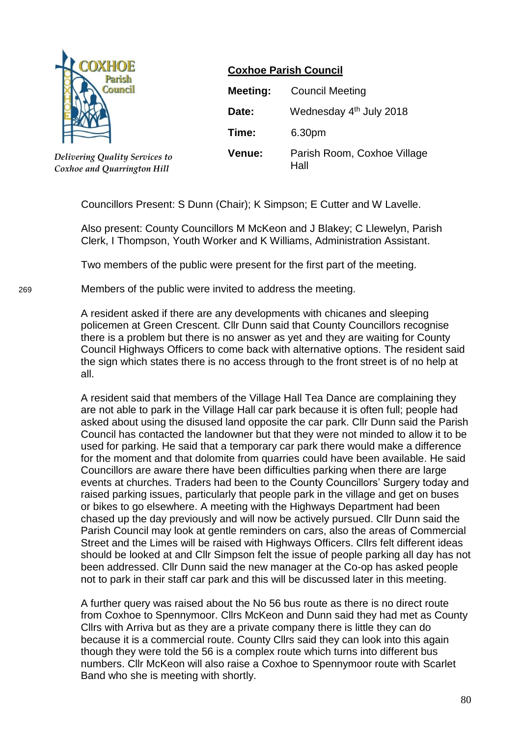

*Delivering Quality Services to Coxhoe and Quarrington Hill*

# **Coxhoe Parish Council**

| <b>Meeting:</b> | <b>Council Meeting</b>              |
|-----------------|-------------------------------------|
| Date:           | Wednesday 4th July 2018             |
| Time:           | 6.30pm                              |
| Venue:          | Parish Room, Coxhoe Village<br>Hall |

Councillors Present: S Dunn (Chair); K Simpson; E Cutter and W Lavelle.

Also present: County Councillors M McKeon and J Blakey; C Llewelyn, Parish Clerk, I Thompson, Youth Worker and K Williams, Administration Assistant.

Two members of the public were present for the first part of the meeting.

269 Members of the public were invited to address the meeting.

A resident asked if there are any developments with chicanes and sleeping policemen at Green Crescent. Cllr Dunn said that County Councillors recognise there is a problem but there is no answer as yet and they are waiting for County Council Highways Officers to come back with alternative options. The resident said the sign which states there is no access through to the front street is of no help at all.

A resident said that members of the Village Hall Tea Dance are complaining they are not able to park in the Village Hall car park because it is often full; people had asked about using the disused land opposite the car park. Cllr Dunn said the Parish Council has contacted the landowner but that they were not minded to allow it to be used for parking. He said that a temporary car park there would make a difference for the moment and that dolomite from quarries could have been available. He said Councillors are aware there have been difficulties parking when there are large events at churches. Traders had been to the County Councillors' Surgery today and raised parking issues, particularly that people park in the village and get on buses or bikes to go elsewhere. A meeting with the Highways Department had been chased up the day previously and will now be actively pursued. Cllr Dunn said the Parish Council may look at gentle reminders on cars, also the areas of Commercial Street and the Limes will be raised with Highways Officers. Cllrs felt different ideas should be looked at and Cllr Simpson felt the issue of people parking all day has not been addressed. Cllr Dunn said the new manager at the Co-op has asked people not to park in their staff car park and this will be discussed later in this meeting.

A further query was raised about the No 56 bus route as there is no direct route from Coxhoe to Spennymoor. Cllrs McKeon and Dunn said they had met as County Cllrs with Arriva but as they are a private company there is little they can do because it is a commercial route. County Cllrs said they can look into this again though they were told the 56 is a complex route which turns into different bus numbers. Cllr McKeon will also raise a Coxhoe to Spennymoor route with Scarlet Band who she is meeting with shortly.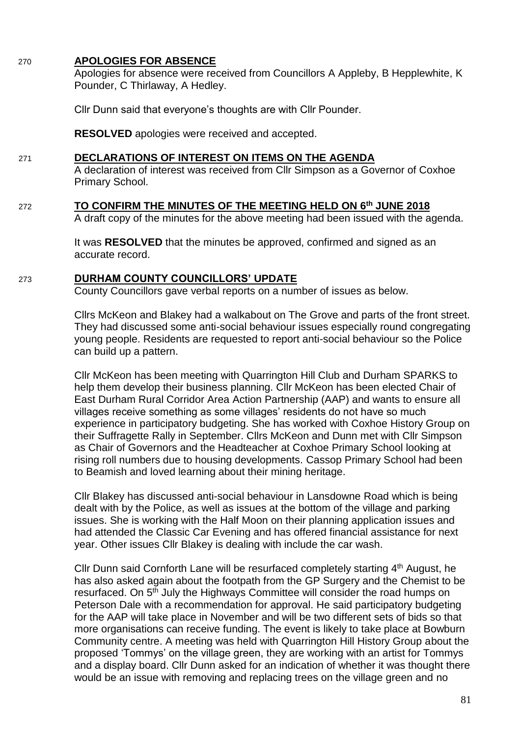#### 270 **APOLOGIES FOR ABSENCE**

Apologies for absence were received from Councillors A Appleby, B Hepplewhite, K Pounder, C Thirlaway, A Hedley.

Cllr Dunn said that everyone's thoughts are with Cllr Pounder.

**RESOLVED** apologies were received and accepted.

#### 271 **DECLARATIONS OF INTEREST ON ITEMS ON THE AGENDA**

A declaration of interest was received from Cllr Simpson as a Governor of Coxhoe Primary School.

272 **TO CONFIRM THE MINUTES OF THE MEETING HELD ON 6 th JUNE 2018**

A draft copy of the minutes for the above meeting had been issued with the agenda.

It was **RESOLVED** that the minutes be approved, confirmed and signed as an accurate record.

#### 273 **DURHAM COUNTY COUNCILLORS' UPDATE**

County Councillors gave verbal reports on a number of issues as below.

Cllrs McKeon and Blakey had a walkabout on The Grove and parts of the front street. They had discussed some anti-social behaviour issues especially round congregating young people. Residents are requested to report anti-social behaviour so the Police can build up a pattern.

Cllr McKeon has been meeting with Quarrington Hill Club and Durham SPARKS to help them develop their business planning. Cllr McKeon has been elected Chair of East Durham Rural Corridor Area Action Partnership (AAP) and wants to ensure all villages receive something as some villages' residents do not have so much experience in participatory budgeting. She has worked with Coxhoe History Group on their Suffragette Rally in September. Cllrs McKeon and Dunn met with Cllr Simpson as Chair of Governors and the Headteacher at Coxhoe Primary School looking at rising roll numbers due to housing developments. Cassop Primary School had been to Beamish and loved learning about their mining heritage.

Cllr Blakey has discussed anti-social behaviour in Lansdowne Road which is being dealt with by the Police, as well as issues at the bottom of the village and parking issues. She is working with the Half Moon on their planning application issues and had attended the Classic Car Evening and has offered financial assistance for next year. Other issues Cllr Blakey is dealing with include the car wash.

Cllr Dunn said Cornforth Lane will be resurfaced completely starting 4<sup>th</sup> August, he has also asked again about the footpath from the GP Surgery and the Chemist to be resurfaced. On 5<sup>th</sup> July the Highways Committee will consider the road humps on Peterson Dale with a recommendation for approval. He said participatory budgeting for the AAP will take place in November and will be two different sets of bids so that more organisations can receive funding. The event is likely to take place at Bowburn Community centre. A meeting was held with Quarrington Hill History Group about the proposed 'Tommys' on the village green, they are working with an artist for Tommys and a display board. Cllr Dunn asked for an indication of whether it was thought there would be an issue with removing and replacing trees on the village green and no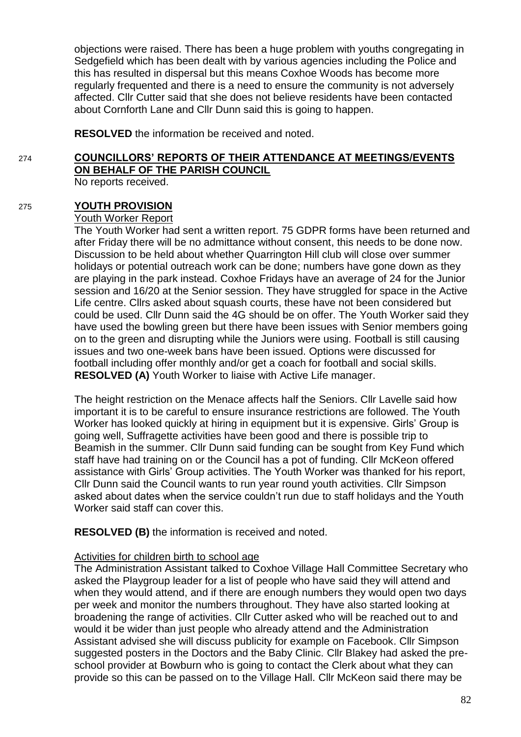objections were raised. There has been a huge problem with youths congregating in Sedgefield which has been dealt with by various agencies including the Police and this has resulted in dispersal but this means Coxhoe Woods has become more regularly frequented and there is a need to ensure the community is not adversely affected. Cllr Cutter said that she does not believe residents have been contacted about Cornforth Lane and Cllr Dunn said this is going to happen.

**RESOLVED** the information be received and noted.

# 274 **COUNCILLORS' REPORTS OF THEIR ATTENDANCE AT MEETINGS/EVENTS ON BEHALF OF THE PARISH COUNCIL**

No reports received.

#### 275 **YOUTH PROVISION**

#### Youth Worker Report

The Youth Worker had sent a written report. 75 GDPR forms have been returned and after Friday there will be no admittance without consent, this needs to be done now. Discussion to be held about whether Quarrington Hill club will close over summer holidays or potential outreach work can be done; numbers have gone down as they are playing in the park instead. Coxhoe Fridays have an average of 24 for the Junior session and 16/20 at the Senior session. They have struggled for space in the Active Life centre. Cllrs asked about squash courts, these have not been considered but could be used. Cllr Dunn said the 4G should be on offer. The Youth Worker said they have used the bowling green but there have been issues with Senior members going on to the green and disrupting while the Juniors were using. Football is still causing issues and two one-week bans have been issued. Options were discussed for football including offer monthly and/or get a coach for football and social skills. **RESOLVED (A)** Youth Worker to liaise with Active Life manager.

The height restriction on the Menace affects half the Seniors. Cllr Lavelle said how important it is to be careful to ensure insurance restrictions are followed. The Youth Worker has looked quickly at hiring in equipment but it is expensive. Girls' Group is going well, Suffragette activities have been good and there is possible trip to Beamish in the summer. Cllr Dunn said funding can be sought from Key Fund which staff have had training on or the Council has a pot of funding. Cllr McKeon offered assistance with Girls' Group activities. The Youth Worker was thanked for his report, Cllr Dunn said the Council wants to run year round youth activities. Cllr Simpson asked about dates when the service couldn't run due to staff holidays and the Youth Worker said staff can cover this.

**RESOLVED (B)** the information is received and noted.

#### Activities for children birth to school age

The Administration Assistant talked to Coxhoe Village Hall Committee Secretary who asked the Playgroup leader for a list of people who have said they will attend and when they would attend, and if there are enough numbers they would open two days per week and monitor the numbers throughout. They have also started looking at broadening the range of activities. Cllr Cutter asked who will be reached out to and would it be wider than just people who already attend and the Administration Assistant advised she will discuss publicity for example on Facebook. Cllr Simpson suggested posters in the Doctors and the Baby Clinic. Cllr Blakey had asked the preschool provider at Bowburn who is going to contact the Clerk about what they can provide so this can be passed on to the Village Hall. Cllr McKeon said there may be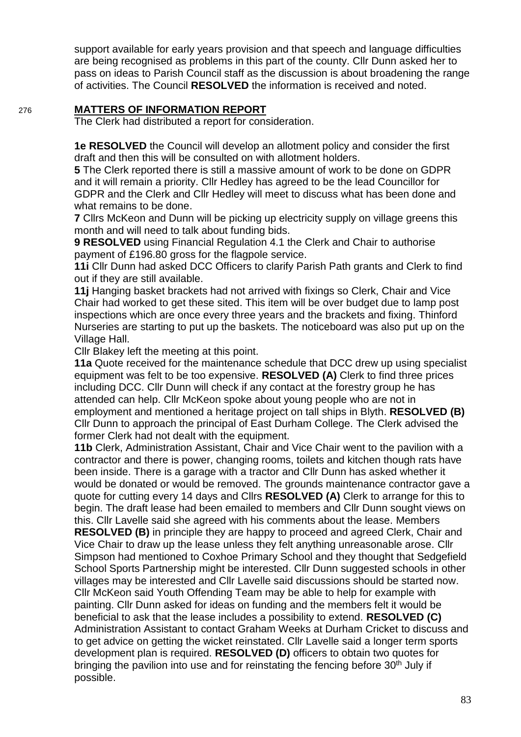support available for early years provision and that speech and language difficulties are being recognised as problems in this part of the county. Cllr Dunn asked her to pass on ideas to Parish Council staff as the discussion is about broadening the range of activities. The Council **RESOLVED** the information is received and noted.

# 276 **MATTERS OF INFORMATION REPORT**

The Clerk had distributed a report for consideration.

**1e RESOLVED** the Council will develop an allotment policy and consider the first draft and then this will be consulted on with allotment holders.

**5** The Clerk reported there is still a massive amount of work to be done on GDPR and it will remain a priority. Cllr Hedley has agreed to be the lead Councillor for GDPR and the Clerk and Cllr Hedley will meet to discuss what has been done and what remains to be done.

**7** Cllrs McKeon and Dunn will be picking up electricity supply on village greens this month and will need to talk about funding bids.

**9 RESOLVED** using Financial Regulation 4.1 the Clerk and Chair to authorise payment of £196.80 gross for the flagpole service.

**11i** Cllr Dunn had asked DCC Officers to clarify Parish Path grants and Clerk to find out if they are still available.

**11j** Hanging basket brackets had not arrived with fixings so Clerk, Chair and Vice Chair had worked to get these sited. This item will be over budget due to lamp post inspections which are once every three years and the brackets and fixing. Thinford Nurseries are starting to put up the baskets. The noticeboard was also put up on the Village Hall.

Cllr Blakey left the meeting at this point.

**11a** Quote received for the maintenance schedule that DCC drew up using specialist equipment was felt to be too expensive. **RESOLVED (A)** Clerk to find three prices including DCC. Cllr Dunn will check if any contact at the forestry group he has attended can help. Cllr McKeon spoke about young people who are not in employment and mentioned a heritage project on tall ships in Blyth. **RESOLVED (B)**  Cllr Dunn to approach the principal of East Durham College. The Clerk advised the former Clerk had not dealt with the equipment.

**11b** Clerk, Administration Assistant, Chair and Vice Chair went to the pavilion with a contractor and there is power, changing rooms, toilets and kitchen though rats have been inside. There is a garage with a tractor and Cllr Dunn has asked whether it would be donated or would be removed. The grounds maintenance contractor gave a quote for cutting every 14 days and Cllrs **RESOLVED (A)** Clerk to arrange for this to begin. The draft lease had been emailed to members and Cllr Dunn sought views on this. Cllr Lavelle said she agreed with his comments about the lease. Members **RESOLVED (B)** in principle they are happy to proceed and agreed Clerk, Chair and Vice Chair to draw up the lease unless they felt anything unreasonable arose. Cllr Simpson had mentioned to Coxhoe Primary School and they thought that Sedgefield School Sports Partnership might be interested. Cllr Dunn suggested schools in other villages may be interested and Cllr Lavelle said discussions should be started now. Cllr McKeon said Youth Offending Team may be able to help for example with painting. Cllr Dunn asked for ideas on funding and the members felt it would be beneficial to ask that the lease includes a possibility to extend. **RESOLVED (C)** Administration Assistant to contact Graham Weeks at Durham Cricket to discuss and to get advice on getting the wicket reinstated. Cllr Lavelle said a longer term sports development plan is required. **RESOLVED (D)** officers to obtain two quotes for bringing the pavilion into use and for reinstating the fencing before 30<sup>th</sup> July if possible.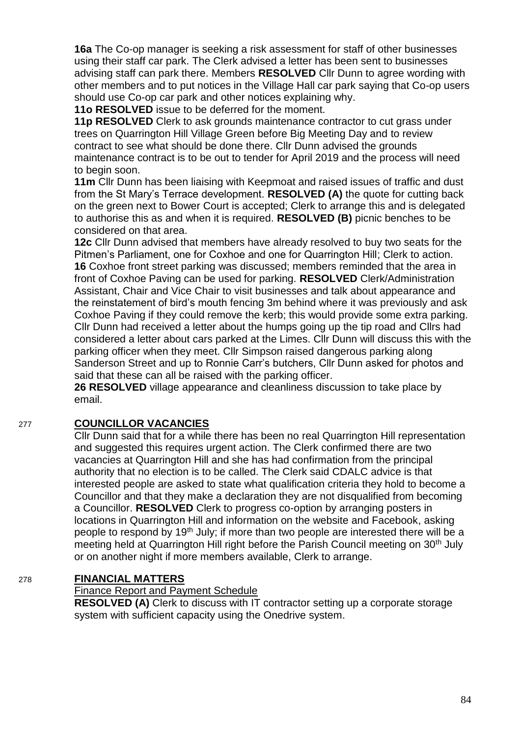**16a** The Co-op manager is seeking a risk assessment for staff of other businesses using their staff car park. The Clerk advised a letter has been sent to businesses advising staff can park there. Members **RESOLVED** Cllr Dunn to agree wording with other members and to put notices in the Village Hall car park saying that Co-op users should use Co-op car park and other notices explaining why.

**11o RESOLVED** issue to be deferred for the moment.

**11p RESOLVED** Clerk to ask grounds maintenance contractor to cut grass under trees on Quarrington Hill Village Green before Big Meeting Day and to review contract to see what should be done there. Cllr Dunn advised the grounds maintenance contract is to be out to tender for April 2019 and the process will need to begin soon.

**11m** Cllr Dunn has been liaising with Keepmoat and raised issues of traffic and dust from the St Mary's Terrace development. **RESOLVED (A)** the quote for cutting back on the green next to Bower Court is accepted; Clerk to arrange this and is delegated to authorise this as and when it is required. **RESOLVED (B)** picnic benches to be considered on that area.

**12c** Cllr Dunn advised that members have already resolved to buy two seats for the Pitmen's Parliament, one for Coxhoe and one for Quarrington Hill; Clerk to action. **16** Coxhoe front street parking was discussed; members reminded that the area in front of Coxhoe Paving can be used for parking. **RESOLVED** Clerk/Administration Assistant, Chair and Vice Chair to visit businesses and talk about appearance and the reinstatement of bird's mouth fencing 3m behind where it was previously and ask Coxhoe Paving if they could remove the kerb; this would provide some extra parking. Cllr Dunn had received a letter about the humps going up the tip road and Cllrs had considered a letter about cars parked at the Limes. Cllr Dunn will discuss this with the parking officer when they meet. Cllr Simpson raised dangerous parking along Sanderson Street and up to Ronnie Carr's butchers, Cllr Dunn asked for photos and said that these can all be raised with the parking officer.

**26 RESOLVED** village appearance and cleanliness discussion to take place by email.

#### 277 **COUNCILLOR VACANCIES**

Cllr Dunn said that for a while there has been no real Quarrington Hill representation and suggested this requires urgent action. The Clerk confirmed there are two vacancies at Quarrington Hill and she has had confirmation from the principal authority that no election is to be called. The Clerk said CDALC advice is that interested people are asked to state what qualification criteria they hold to become a Councillor and that they make a declaration they are not disqualified from becoming a Councillor. **RESOLVED** Clerk to progress co-option by arranging posters in locations in Quarrington Hill and information on the website and Facebook, asking people to respond by 19<sup>th</sup> July; if more than two people are interested there will be a meeting held at Quarrington Hill right before the Parish Council meeting on 30<sup>th</sup> July or on another night if more members available, Clerk to arrange.

# 278 **FINANCIAL MATTERS**

# Finance Report and Payment Schedule

**RESOLVED (A)** Clerk to discuss with IT contractor setting up a corporate storage system with sufficient capacity using the Onedrive system.

84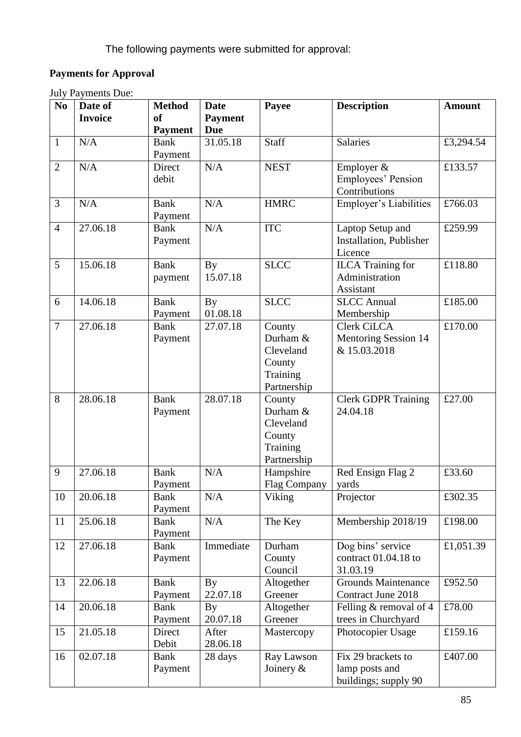# **Payments for Approval**

| <b>July Payments Due:</b> |  |
|---------------------------|--|
|---------------------------|--|

| N <sub>0</sub> | Date of        | <b>Method</b>          | <b>Date</b>                        | Payee                     | <b>Description</b>                 | <b>Amount</b> |
|----------------|----------------|------------------------|------------------------------------|---------------------------|------------------------------------|---------------|
|                | <b>Invoice</b> | <b>of</b>              | <b>Payment</b>                     |                           |                                    |               |
|                |                | <b>Payment</b>         | <b>Due</b>                         |                           |                                    |               |
| $\mathbf{1}$   | N/A            | <b>Bank</b>            | 31.05.18                           | Staff                     | <b>Salaries</b>                    | £3,294.54     |
|                |                | Payment                |                                    |                           |                                    |               |
| $\overline{2}$ | N/A            | Direct                 | N/A                                | <b>NEST</b><br>Employer & |                                    | £133.57       |
|                |                | debit                  |                                    |                           | Employees' Pension                 |               |
|                |                |                        |                                    |                           | Contributions                      |               |
| $\overline{3}$ | N/A            | <b>Bank</b>            | N/A                                | <b>HMRC</b>               | Employer's Liabilities             | £766.03       |
|                |                | Payment                |                                    |                           |                                    |               |
| $\overline{4}$ | 27.06.18       | <b>Bank</b>            | N/A                                | <b>ITC</b>                | Laptop Setup and                   | £259.99       |
|                |                | Payment                |                                    |                           | Installation, Publisher            |               |
|                |                |                        |                                    |                           | Licence                            |               |
| 5              | 15.06.18       | <b>Bank</b>            | <b>By</b>                          | <b>SLCC</b>               | <b>ILCA</b> Training for           | £118.80       |
|                |                | payment                | 15.07.18                           |                           | Administration                     |               |
|                |                |                        |                                    |                           | Assistant                          |               |
| 6              | 14.06.18       | <b>Bank</b>            | <b>By</b>                          | <b>SLCC</b>               | <b>SLCC</b> Annual                 | £185.00       |
|                |                | Payment                | 01.08.18                           |                           | Membership                         |               |
| $\overline{7}$ | 27.06.18       | <b>Bank</b>            | 27.07.18                           | County                    | <b>Clerk CiLCA</b>                 | £170.00       |
|                |                | Payment                |                                    | Durham &                  | Mentoring Session 14               |               |
|                |                |                        |                                    | Cleveland                 | & 15.03.2018                       |               |
|                |                |                        |                                    | County                    |                                    |               |
|                |                |                        |                                    | Training                  |                                    |               |
|                |                |                        |                                    | Partnership               |                                    |               |
| 8              | 28.06.18       | <b>Bank</b>            | 28.07.18                           | County                    | <b>Clerk GDPR Training</b>         | £27.00        |
|                |                | Payment                |                                    | Durham &                  | 24.04.18                           |               |
|                |                |                        |                                    | Cleveland                 |                                    |               |
|                |                |                        |                                    | County                    |                                    |               |
|                |                |                        |                                    | Training                  |                                    |               |
|                |                |                        |                                    | Partnership               |                                    |               |
| 9              | 27.06.18       | <b>Bank</b>            | N/A                                | Hampshire                 | Red Ensign Flag 2                  | £33.60        |
|                |                | Payment                |                                    | Flag Company              | yards                              |               |
| 10             | 20.06.18       | <b>Bank</b>            | N/A                                | Viking                    | Projector                          | £302.35       |
|                |                | Payment                |                                    |                           |                                    |               |
| 11             | 25.06.18       | <b>Bank</b>            | N/A                                | The Key                   | Membership 2018/19                 | £198.00       |
|                |                | Payment                |                                    |                           |                                    |               |
| 12             | 27.06.18       | <b>Bank</b>            | Immediate                          | Durham                    | Dog bins' service                  | £1,051.39     |
|                |                | Payment                |                                    | County<br>Council         | contract $01.04.18$ to<br>31.03.19 |               |
| 13             | 22.06.18       |                        |                                    |                           | <b>Grounds Maintenance</b>         | £952.50       |
|                |                | <b>Bank</b><br>Payment | $\mathbf{B}\mathbf{y}$<br>22.07.18 | Altogether<br>Greener     | <b>Contract June 2018</b>          |               |
| 14             | 20.06.18       | <b>Bank</b>            | <b>By</b>                          | Altogether                | Felling & removal of 4             | £78.00        |
|                |                |                        | 20.07.18                           | Greener                   | trees in Churchyard                |               |
| 15             | 21.05.18       | Payment<br>Direct      | After                              | Mastercopy                | Photocopier Usage                  | £159.16       |
|                |                | Debit                  | 28.06.18                           |                           |                                    |               |
| 16             | 02.07.18       | <b>Bank</b>            | 28 days                            | Ray Lawson                | Fix 29 brackets to                 | £407.00       |
|                |                | Payment                |                                    | Joinery $&$               | lamp posts and                     |               |
|                |                |                        |                                    |                           |                                    |               |
|                |                |                        |                                    |                           | buildings; supply 90               |               |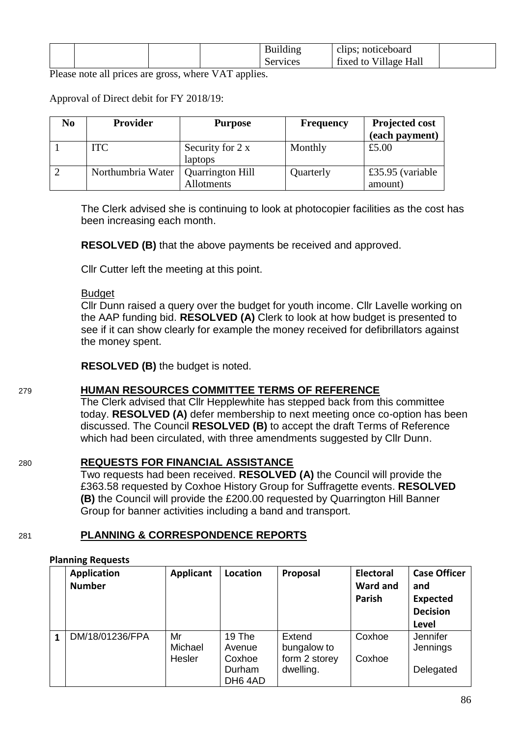|  |  | Building | clips; noticeboard    |  |
|--|--|----------|-----------------------|--|
|  |  | Services | fixed to Village Hall |  |

Please note all prices are gross, where VAT applies.

#### Approval of Direct debit for FY 2018/19:

| No | Provider          | <b>Purpose</b>          | <b>Frequency</b> | <b>Projected cost</b> |
|----|-------------------|-------------------------|------------------|-----------------------|
|    |                   |                         |                  | (each payment)        |
|    | <b>ITC</b>        | Security for 2 x        | Monthly          | £5.00                 |
|    |                   | laptops                 |                  |                       |
|    | Northumbria Water | <b>Quarrington Hill</b> | Quarterly        | £35.95 (variable      |
|    |                   | Allotments              |                  | amount)               |

The Clerk advised she is continuing to look at photocopier facilities as the cost has been increasing each month.

**RESOLVED (B)** that the above payments be received and approved.

Cllr Cutter left the meeting at this point.

#### **Budget**

Cllr Dunn raised a query over the budget for youth income. Cllr Lavelle working on the AAP funding bid. **RESOLVED (A)** Clerk to look at how budget is presented to see if it can show clearly for example the money received for defibrillators against the money spent.

**RESOLVED (B)** the budget is noted.

#### 279 **HUMAN RESOURCES COMMITTEE TERMS OF REFERENCE**

The Clerk advised that Cllr Hepplewhite has stepped back from this committee today. **RESOLVED (A)** defer membership to next meeting once co-option has been discussed. The Council **RESOLVED (B)** to accept the draft Terms of Reference which had been circulated, with three amendments suggested by Cllr Dunn.

#### 280 **REQUESTS FOR FINANCIAL ASSISTANCE**

Two requests had been received. **RESOLVED (A)** the Council will provide the £363.58 requested by Coxhoe History Group for Suffragette events. **RESOLVED (B)** the Council will provide the £200.00 requested by Quarrington Hill Banner Group for banner activities including a band and transport.

#### 281 **PLANNING & CORRESPONDENCE REPORTS**

#### **Planning Requests**

| <b>Application</b><br><b>Number</b> | Applicant               | Location                                       | Proposal                                            | <b>Electoral</b><br><b>Ward and</b><br>Parish | <b>Case Officer</b><br>and<br><b>Expected</b><br><b>Decision</b><br>Level |
|-------------------------------------|-------------------------|------------------------------------------------|-----------------------------------------------------|-----------------------------------------------|---------------------------------------------------------------------------|
| DM/18/01236/FPA                     | Mr<br>Michael<br>Hesler | 19 The<br>Avenue<br>Coxhoe<br>Durham<br>DH64AD | Extend<br>bungalow to<br>form 2 storey<br>dwelling. | Coxhoe<br>Coxhoe                              | <b>Jennifer</b><br>Jennings<br>Delegated                                  |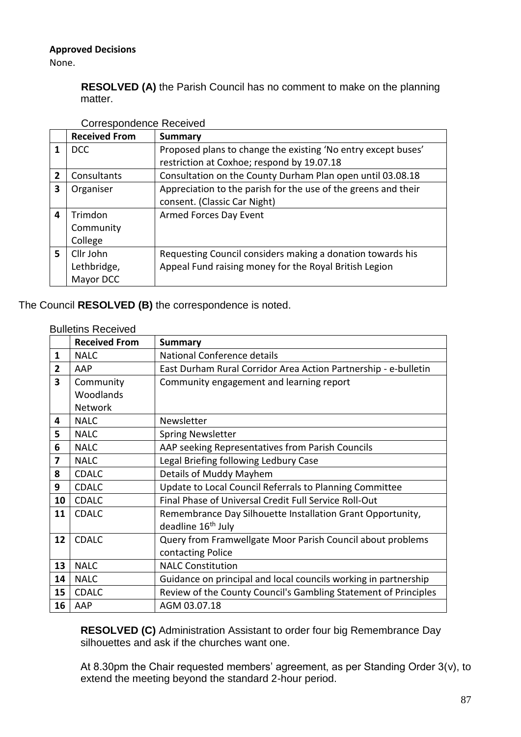# **Approved Decisions**

None.

**RESOLVED (A)** the Parish Council has no comment to make on the planning matter.

|                | <b>Received From</b> | <b>Summary</b>                                                 |
|----------------|----------------------|----------------------------------------------------------------|
|                | <b>DCC</b>           | Proposed plans to change the existing 'No entry except buses'  |
|                |                      | restriction at Coxhoe; respond by 19.07.18                     |
| $\overline{2}$ | Consultants          | Consultation on the County Durham Plan open until 03.08.18     |
| 3              | Organiser            | Appreciation to the parish for the use of the greens and their |
|                |                      | consent. (Classic Car Night)                                   |
| 4              | Trimdon              | <b>Armed Forces Day Event</b>                                  |
|                | Community            |                                                                |
|                | College              |                                                                |
| 5.             | Cllr John            | Requesting Council considers making a donation towards his     |
|                | Lethbridge,          | Appeal Fund raising money for the Royal British Legion         |
|                | Mayor DCC            |                                                                |

# Correspondence Received

# The Council **RESOLVED (B)** the correspondence is noted.

| <b>Bulletins Received</b> |
|---------------------------|
|                           |
|                           |

|                         | <b>Received From</b> | <b>Summary</b>                                                  |
|-------------------------|----------------------|-----------------------------------------------------------------|
| $\mathbf{1}$            | <b>NALC</b>          | National Conference details                                     |
| $\overline{2}$          | AAP                  | East Durham Rural Corridor Area Action Partnership - e-bulletin |
| $\overline{\mathbf{3}}$ | Community            | Community engagement and learning report                        |
|                         | Woodlands            |                                                                 |
|                         | <b>Network</b>       |                                                                 |
| 4                       | <b>NALC</b>          | Newsletter                                                      |
| 5                       | <b>NALC</b>          | <b>Spring Newsletter</b>                                        |
| 6                       | <b>NALC</b>          | AAP seeking Representatives from Parish Councils                |
| 7                       | <b>NALC</b>          | Legal Briefing following Ledbury Case                           |
| 8                       | <b>CDALC</b>         | Details of Muddy Mayhem                                         |
| 9                       | <b>CDALC</b>         | Update to Local Council Referrals to Planning Committee         |
| 10                      | <b>CDALC</b>         | Final Phase of Universal Credit Full Service Roll-Out           |
| 11                      | <b>CDALC</b>         | Remembrance Day Silhouette Installation Grant Opportunity,      |
|                         |                      | deadline 16 <sup>th</sup> July                                  |
| 12                      | <b>CDALC</b>         | Query from Framwellgate Moor Parish Council about problems      |
|                         |                      | contacting Police                                               |
| 13                      | <b>NALC</b>          | <b>NALC Constitution</b>                                        |
| 14                      | <b>NALC</b>          | Guidance on principal and local councils working in partnership |
| 15                      | <b>CDALC</b>         | Review of the County Council's Gambling Statement of Principles |
| 16                      | AAP                  | AGM 03.07.18                                                    |

**RESOLVED (C)** Administration Assistant to order four big Remembrance Day silhouettes and ask if the churches want one.

At 8.30pm the Chair requested members' agreement, as per Standing Order 3(v), to extend the meeting beyond the standard 2-hour period.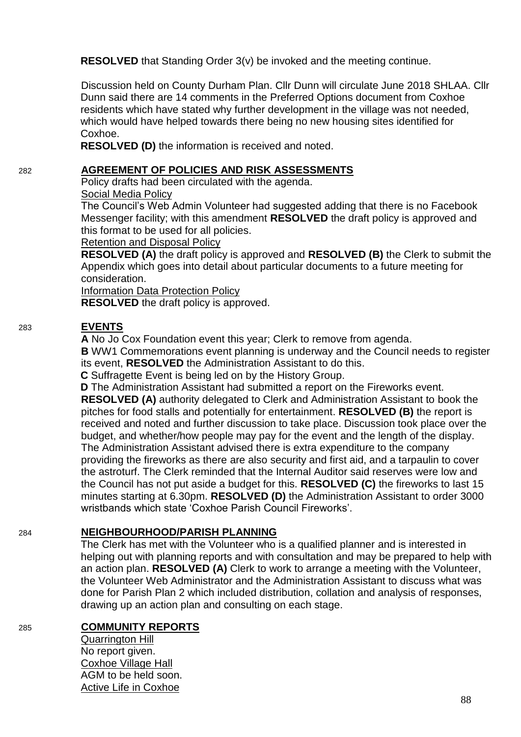**RESOLVED** that Standing Order 3(v) be invoked and the meeting continue.

Discussion held on County Durham Plan. Cllr Dunn will circulate June 2018 SHLAA. Cllr Dunn said there are 14 comments in the Preferred Options document from Coxhoe residents which have stated why further development in the village was not needed, which would have helped towards there being no new housing sites identified for Coxhoe.

**RESOLVED (D)** the information is received and noted.

#### 282 **AGREEMENT OF POLICIES AND RISK ASSESSMENTS**

Policy drafts had been circulated with the agenda. Social Media Policy

The Council's Web Admin Volunteer had suggested adding that there is no Facebook Messenger facility; with this amendment **RESOLVED** the draft policy is approved and this format to be used for all policies.

Retention and Disposal Policy

**RESOLVED (A)** the draft policy is approved and **RESOLVED (B)** the Clerk to submit the Appendix which goes into detail about particular documents to a future meeting for consideration.

Information Data Protection Policy

**RESOLVED** the draft policy is approved.

# 283 **EVENTS**

**A** No Jo Cox Foundation event this year; Clerk to remove from agenda.

**B** WW1 Commemorations event planning is underway and the Council needs to register its event, **RESOLVED** the Administration Assistant to do this.

**C** Suffragette Event is being led on by the History Group.

**D** The Administration Assistant had submitted a report on the Fireworks event. **RESOLVED (A)** authority delegated to Clerk and Administration Assistant to book the pitches for food stalls and potentially for entertainment. **RESOLVED (B)** the report is received and noted and further discussion to take place. Discussion took place over the budget, and whether/how people may pay for the event and the length of the display. The Administration Assistant advised there is extra expenditure to the company providing the fireworks as there are also security and first aid, and a tarpaulin to cover the astroturf. The Clerk reminded that the Internal Auditor said reserves were low and the Council has not put aside a budget for this. **RESOLVED (C)** the fireworks to last 15 minutes starting at 6.30pm. **RESOLVED (D)** the Administration Assistant to order 3000 wristbands which state 'Coxhoe Parish Council Fireworks'.

# 284 **NEIGHBOURHOOD/PARISH PLANNING**

The Clerk has met with the Volunteer who is a qualified planner and is interested in helping out with planning reports and with consultation and may be prepared to help with an action plan. **RESOLVED (A)** Clerk to work to arrange a meeting with the Volunteer, the Volunteer Web Administrator and the Administration Assistant to discuss what was done for Parish Plan 2 which included distribution, collation and analysis of responses, drawing up an action plan and consulting on each stage.

#### 285 **COMMUNITY REPORTS**

Quarrington Hill No report given. Coxhoe Village Hall AGM to be held soon. Active Life in Coxhoe